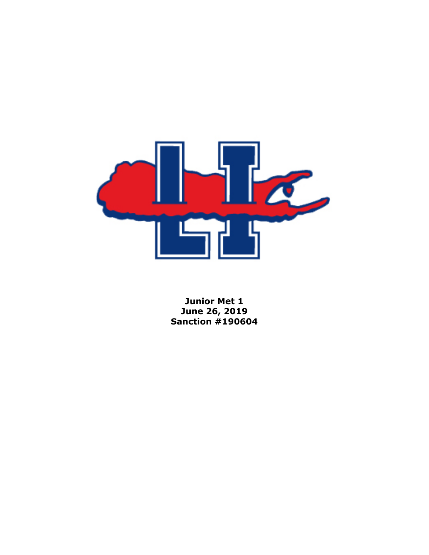

**Junior Met 1 June 26, 2019 Sanction #190604**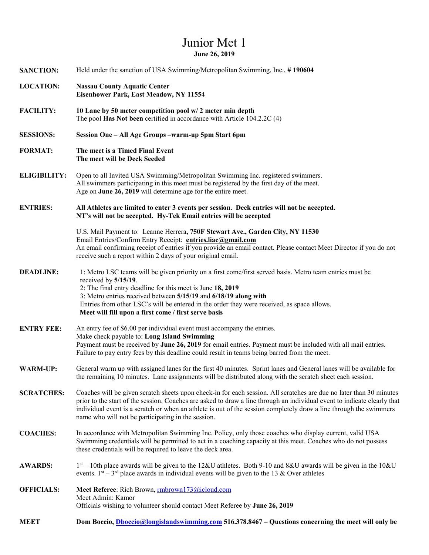## Junior Met 1 **June 26, 2019**

| <b>SANCTION:</b>    | Held under the sanction of USA Swimming/Metropolitan Swimming, Inc., #190604                                                                                                                                                                                                                                                                                                                                                |  |  |
|---------------------|-----------------------------------------------------------------------------------------------------------------------------------------------------------------------------------------------------------------------------------------------------------------------------------------------------------------------------------------------------------------------------------------------------------------------------|--|--|
| <b>LOCATION:</b>    | <b>Nassau County Aquatic Center</b><br>Eisenhower Park, East Meadow, NY 11554                                                                                                                                                                                                                                                                                                                                               |  |  |
| <b>FACILITY:</b>    | 10 Lane by 50 meter competition pool w/2 meter min depth<br>The pool Has Not been certified in accordance with Article 104.2.2C (4)                                                                                                                                                                                                                                                                                         |  |  |
| <b>SESSIONS:</b>    | Session One - All Age Groups -warm-up 5pm Start 6pm                                                                                                                                                                                                                                                                                                                                                                         |  |  |
| <b>FORMAT:</b>      | The meet is a Timed Final Event<br>The meet will be Deck Seeded                                                                                                                                                                                                                                                                                                                                                             |  |  |
| <b>ELIGIBILITY:</b> | Open to all Invited USA Swimming/Metropolitan Swimming Inc. registered swimmers.<br>All swimmers participating in this meet must be registered by the first day of the meet.<br>Age on June 26, 2019 will determine age for the entire meet.                                                                                                                                                                                |  |  |
| <b>ENTRIES:</b>     | All Athletes are limited to enter 3 events per session. Deck entries will not be accepted.<br>NT's will not be accepted. Hy-Tek Email entries will be accepted                                                                                                                                                                                                                                                              |  |  |
|                     | U.S. Mail Payment to: Leanne Herrera, 750F Stewart Ave., Garden City, NY 11530<br>Email Entries/Confirm Entry Receipt: entries.liac@gmail.com<br>An email confirming receipt of entries if you provide an email contact. Please contact Meet Director if you do not<br>receive such a report within 2 days of your original email.                                                                                          |  |  |
| <b>DEADLINE:</b>    | 1: Metro LSC teams will be given priority on a first come/first served basis. Metro team entries must be<br>received by 5/15/19.<br>2: The final entry deadline for this meet is June 18, 2019<br>3: Metro entries received between 5/15/19 and 6/18/19 along with<br>Entries from other LSC's will be entered in the order they were received, as space allows.<br>Meet will fill upon a first come / first serve basis    |  |  |
| <b>ENTRY FEE:</b>   | An entry fee of \$6.00 per individual event must accompany the entries.<br>Make check payable to: Long Island Swimming<br>Payment must be received by June 26, 2019 for email entries. Payment must be included with all mail entries.<br>Failure to pay entry fees by this deadline could result in teams being barred from the meet.                                                                                      |  |  |
| <b>WARM-UP:</b>     | General warm up with assigned lanes for the first 40 minutes. Sprint lanes and General lanes will be available for<br>the remaining 10 minutes. Lane assignments will be distributed along with the scratch sheet each session.                                                                                                                                                                                             |  |  |
| <b>SCRATCHES:</b>   | Coaches will be given scratch sheets upon check-in for each session. All scratches are due no later than 30 minutes<br>prior to the start of the session. Coaches are asked to draw a line through an individual event to indicate clearly that<br>individual event is a scratch or when an athlete is out of the session completely draw a line through the swimmers<br>name who will not be participating in the session. |  |  |
| <b>COACHES:</b>     | In accordance with Metropolitan Swimming Inc. Policy, only those coaches who display current, valid USA<br>Swimming credentials will be permitted to act in a coaching capacity at this meet. Coaches who do not possess<br>these credentials will be required to leave the deck area.                                                                                                                                      |  |  |
| <b>AWARDS:</b>      | $1st - 10th$ place awards will be given to the 12&U athletes. Both 9-10 and 8&U awards will be given in the 10&U<br>events. $1^{st}$ – 3 <sup>rd</sup> place awards in individual events will be given to the 13 & Over athletes                                                                                                                                                                                            |  |  |
| <b>OFFICIALS:</b>   | Meet Referee: Rich Brown, mbrown173@icloud.com<br>Meet Admin: Kamor<br>Officials wishing to volunteer should contact Meet Referee by June 26, 2019                                                                                                                                                                                                                                                                          |  |  |
| <b>MEET</b>         | Dom Boccio, Dboccio@longislandswimming.com 516.378.8467 – Questions concerning the meet will only be                                                                                                                                                                                                                                                                                                                        |  |  |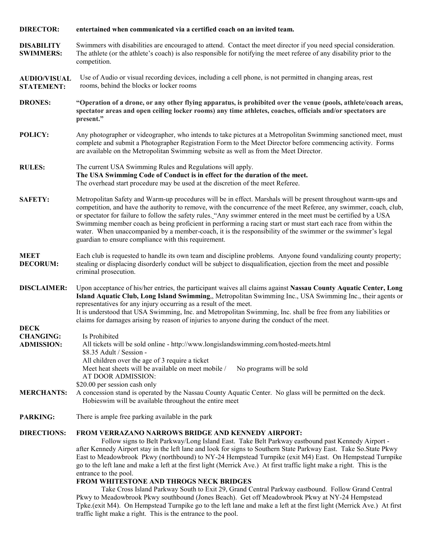| <b>DIRECTOR:</b>                                     | entertained when communicated via a certified coach on an invited team.                                                                                                                                                                                                                                                                                                                                                                                                                                                                                                                                                                                                                                                                                                                                                                                                                                                                                                                      |  |  |
|------------------------------------------------------|----------------------------------------------------------------------------------------------------------------------------------------------------------------------------------------------------------------------------------------------------------------------------------------------------------------------------------------------------------------------------------------------------------------------------------------------------------------------------------------------------------------------------------------------------------------------------------------------------------------------------------------------------------------------------------------------------------------------------------------------------------------------------------------------------------------------------------------------------------------------------------------------------------------------------------------------------------------------------------------------|--|--|
| <b>DISABILITY</b><br><b>SWIMMERS:</b>                | Swimmers with disabilities are encouraged to attend. Contact the meet director if you need special consideration.<br>The athlete (or the athlete's coach) is also responsible for notifying the meet referee of any disability prior to the<br>competition.                                                                                                                                                                                                                                                                                                                                                                                                                                                                                                                                                                                                                                                                                                                                  |  |  |
| <b>AUDIO/VISUAL</b><br><b>STATEMENT:</b>             | Use of Audio or visual recording devices, including a cell phone, is not permitted in changing areas, rest<br>rooms, behind the blocks or locker rooms                                                                                                                                                                                                                                                                                                                                                                                                                                                                                                                                                                                                                                                                                                                                                                                                                                       |  |  |
| <b>DRONES:</b>                                       | "Operation of a drone, or any other flying apparatus, is prohibited over the venue (pools, athlete/coach areas,<br>spectator areas and open ceiling locker rooms) any time athletes, coaches, officials and/or spectators are<br>present."                                                                                                                                                                                                                                                                                                                                                                                                                                                                                                                                                                                                                                                                                                                                                   |  |  |
| POLICY:                                              | Any photographer or videographer, who intends to take pictures at a Metropolitan Swimming sanctioned meet, must<br>complete and submit a Photographer Registration Form to the Meet Director before commencing activity. Forms<br>are available on the Metropolitan Swimming website as well as from the Meet Director.                                                                                                                                                                                                                                                                                                                                                                                                                                                                                                                                                                                                                                                                      |  |  |
| <b>RULES:</b>                                        | The current USA Swimming Rules and Regulations will apply.<br>The USA Swimming Code of Conduct is in effect for the duration of the meet.<br>The overhead start procedure may be used at the discretion of the meet Referee.                                                                                                                                                                                                                                                                                                                                                                                                                                                                                                                                                                                                                                                                                                                                                                 |  |  |
| <b>SAFETY:</b>                                       | Metropolitan Safety and Warm-up procedures will be in effect. Marshals will be present throughout warm-ups and<br>competition, and have the authority to remove, with the concurrence of the meet Referee, any swimmer, coach, club,<br>or spectator for failure to follow the safety rules. "Any swimmer entered in the meet must be certified by a USA<br>Swimming member coach as being proficient in performing a racing start or must start each race from within the<br>water. When unaccompanied by a member-coach, it is the responsibility of the swimmer or the swimmer's legal<br>guardian to ensure compliance with this requirement.                                                                                                                                                                                                                                                                                                                                            |  |  |
| <b>MEET</b><br><b>DECORUM:</b>                       | Each club is requested to handle its own team and discipline problems. Anyone found vandalizing county property;<br>stealing or displacing disorderly conduct will be subject to disqualification, ejection from the meet and possible<br>criminal prosecution.                                                                                                                                                                                                                                                                                                                                                                                                                                                                                                                                                                                                                                                                                                                              |  |  |
| <b>DISCLAIMER:</b>                                   | Upon acceptance of his/her entries, the participant waives all claims against Nassau County Aquatic Center, Long<br>Island Aquatic Club, Long Island Swimming,, Metropolitan Swimming Inc., USA Swimming Inc., their agents or<br>representatives for any injury occurring as a result of the meet.<br>It is understood that USA Swimming, Inc. and Metropolitan Swimming, Inc. shall be free from any liabilities or<br>claims for damages arising by reason of injuries to anyone during the conduct of the meet.                                                                                                                                                                                                                                                                                                                                                                                                                                                                          |  |  |
| <b>DECK</b><br><b>CHANGING:</b><br><b>ADMISSION:</b> | Is Prohibited<br>All tickets will be sold online - http://www.longislandswimming.com/hosted-meets.html<br>\$8.35 Adult / Session -<br>All children over the age of 3 require a ticket<br>Meet heat sheets will be available on meet mobile /<br>No programs will be sold<br>AT DOOR ADMISSION:<br>\$20.00 per session cash only                                                                                                                                                                                                                                                                                                                                                                                                                                                                                                                                                                                                                                                              |  |  |
| <b>MERCHANTS:</b>                                    | A concession stand is operated by the Nassau County Aquatic Center. No glass will be permitted on the deck.<br>Hobieswim will be available throughout the entire meet                                                                                                                                                                                                                                                                                                                                                                                                                                                                                                                                                                                                                                                                                                                                                                                                                        |  |  |
| <b>PARKING:</b>                                      | There is ample free parking available in the park                                                                                                                                                                                                                                                                                                                                                                                                                                                                                                                                                                                                                                                                                                                                                                                                                                                                                                                                            |  |  |
| <b>DIRECTIONS:</b>                                   | <b>FROM VERRAZANO NARROWS BRIDGE AND KENNEDY AIRPORT:</b><br>Follow signs to Belt Parkway/Long Island East. Take Belt Parkway eastbound past Kennedy Airport -<br>after Kennedy Airport stay in the left lane and look for signs to Southern State Parkway East. Take So.State Pkwy<br>East to Meadowbrook Pkwy (northbound) to NY-24 Hempstead Turnpike (exit M4) East. On Hempstead Turnpike<br>go to the left lane and make a left at the first light (Merrick Ave.) At first traffic light make a right. This is the<br>entrance to the pool.<br>FROM WHITESTONE AND THROGS NECK BRIDGES<br>Take Cross Island Parkway South to Exit 29, Grand Central Parkway eastbound. Follow Grand Central<br>Pkwy to Meadowbrook Pkwy southbound (Jones Beach). Get off Meadowbrook Pkwy at NY-24 Hempstead<br>Tpke.(exit M4). On Hempstead Turnpike go to the left lane and make a left at the first light (Merrick Ave.) At first<br>traffic light make a right. This is the entrance to the pool. |  |  |